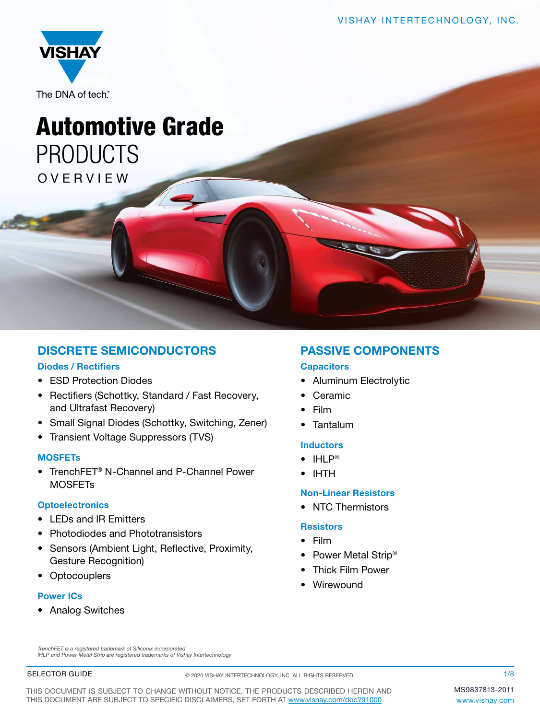

## Automotive Grade PRODUCTS OVERVIEW

### DISCRETE SEMICONDUCTORS

### Diodes / Rectifiers

- ESD Protection Diodes
- Rectifiers (Schottky, Standard / Fast Recovery, and Ultrafast Recovery)
- Small Signal Diodes (Schottky, Switching, Zener)
- Transient Voltage Suppressors (TVS)

### **MOSFETs**

• TrenchFET® N-Channel and P-Channel Power **MOSFET<sub>s</sub>** 

### **Optoelectronics**

- I FDs and IR Fmitters
- Photodiodes and Phototransistors
- Sensors (Ambient Light, Reflective, Proximity, Gesture Recognition)
- Optocouplers

### Power ICs

• Analog Switches

### PASSIVE COMPONENTS

### **Capacitors**

- Aluminum Electrolytic
- **Ceramic**
- Film
- **Tantalum**

### **Inductors**

- IHLP®
- IHTH

### Non-Linear Resistors

• NTC Thermistors

### **Resistors**

- Film
- Power Metal Strip<sup>®</sup>
- Thick Film Power
- Wirewound

*TrenchFET is a registered trademark of Siliconix incorporated IHLP and Power Metal Strip are registered trademarks of Vishay Intertechnology*

### SELECTOR GUIDE

© 2020 VISHAY INTERTECHNOLOGY, INC. ALL RIGHTS RESERVED.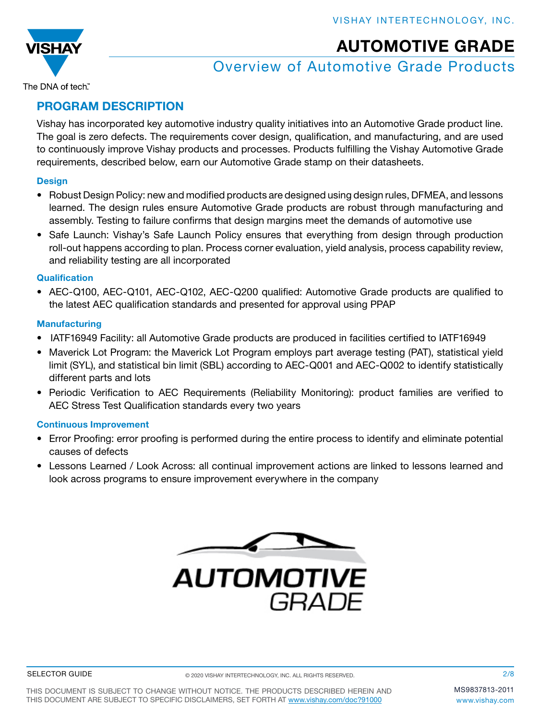

## Overview of Automotive Grade Products

The DNA of tech"

### [PROGRAM D](http://www.vishay.com)ESCRIPTION

Vishay has incorporated key automotive industry quality initiatives into an Automotive Grade product line. The goal is zero defects. The requirements cover design, qualification, and manufacturing, and are used to continuously improve Vishay products and processes. Products fulfilling the Vishay Automotive Grade requirements, described below, earn our Automotive Grade stamp on their datasheets.

### **Design**

- Robust Design Policy: new and modified products are designed using design rules, DFMEA, and lessons learned. The design rules ensure Automotive Grade products are robust through manufacturing and assembly. Testing to failure confirms that design margins meet the demands of automotive use
- Safe Launch: Vishay's Safe Launch Policy ensures that everything from design through production roll-out happens according to plan. Process corner evaluation, yield analysis, process capability review, and reliability testing are all incorporated

### **Qualification**

• AEC-Q100, AEC-Q101, AEC-Q102, AEC-Q200 qualified: Automotive Grade products are qualified to the latest AEC qualification standards and presented for approval using PPAP

### **Manufacturing**

- IATF16949 Facility: all Automotive Grade products are produced in facilities certified to IATF16949
- Maverick Lot Program: the Maverick Lot Program employs part average testing (PAT), statistical yield limit (SYL), and statistical bin limit (SBL) according to AEC-Q001 and AEC-Q002 to identify statistically different parts and lots
- Periodic Verification to AEC Requirements (Reliability Monitoring): product families are verified to AEC Stress Test Qualification standards every two years

### Continuous Improvement

- Error Proofing: error proofing is performed during the entire process to identify and eliminate potential causes of defects
- Lessons Learned / Look Across: all continual improvement actions are linked to lessons learned and look across programs to ensure improvement everywhere in the company

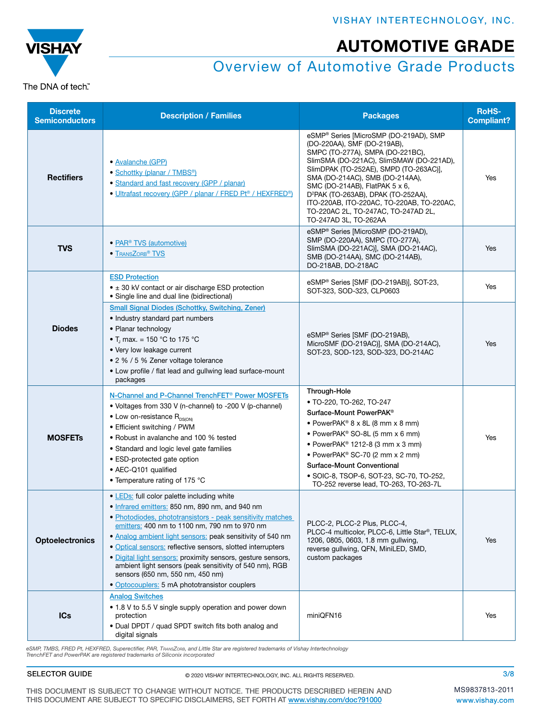# **VISHAY** The DNA of tech"

## Overview of Automotive Grade Products

| <b>Discrete</b><br><b>Semiconductors</b> | <b>Description / Families</b>                                                                                                                                                                                                                                                                                                                                                                                                                                                                                                                             | <b>Packages</b>                                                                                                                                                                                                                                                                                                                                                                                                                      | <b>RoHS-</b><br><b>Compliant?</b> |
|------------------------------------------|-----------------------------------------------------------------------------------------------------------------------------------------------------------------------------------------------------------------------------------------------------------------------------------------------------------------------------------------------------------------------------------------------------------------------------------------------------------------------------------------------------------------------------------------------------------|--------------------------------------------------------------------------------------------------------------------------------------------------------------------------------------------------------------------------------------------------------------------------------------------------------------------------------------------------------------------------------------------------------------------------------------|-----------------------------------|
| <b>Rectifiers</b>                        | · Avalanche (GPP)<br>• Schottky (planar / TMBS <sup>®</sup> )<br>• Standard and fast recovery (GPP / planar)<br>• Ultrafast recovery (GPP / planar / FRED Pt® / HEXFRED®)                                                                                                                                                                                                                                                                                                                                                                                 | eSMP® Series [MicroSMP (DO-219AD), SMP<br>(DO-220AA), SMF (DO-219AB),<br>SMPC (TO-277A), SMPA (DO-221BC),<br>SlimSMA (DO-221AC), SlimSMAW (DO-221AD),<br>SlimDPAK (TO-252AE), SMPD (TO-263AC)],<br>SMA (DO-214AC), SMB (DO-214AA),<br>SMC (DO-214AB), FlatPAK 5 x 6,<br>D <sup>2</sup> PAK (TO-263AB), DPAK (TO-252AA),<br>ITO-220AB, ITO-220AC, TO-220AB, TO-220AC,<br>TO-220AC 2L, TO-247AC, TO-247AD 2L,<br>TO-247AD 3L, TO-262AA | Yes                               |
| <b>TVS</b>                               | • PAR <sup>®</sup> TVS (automotive)<br>• TRANSZORB <sup>®</sup> TVS                                                                                                                                                                                                                                                                                                                                                                                                                                                                                       | eSMP® Series [MicroSMP (DO-219AD),<br>SMP (DO-220AA), SMPC (TO-277A),<br>SlimSMA (DO-221AC)], SMA (DO-214AC),<br>SMB (DO-214AA), SMC (DO-214AB),<br>DO-218AB, DO-218AC                                                                                                                                                                                                                                                               | Yes                               |
|                                          | <b>ESD Protection</b><br>$\bullet$ $\pm$ 30 kV contact or air discharge ESD protection<br>• Single line and dual line (bidirectional)                                                                                                                                                                                                                                                                                                                                                                                                                     | eSMP® Series [SMF (DO-219AB)], SOT-23,<br>SOT-323, SOD-323, CLP0603                                                                                                                                                                                                                                                                                                                                                                  | Yes                               |
| <b>Diodes</b>                            | <b>Small Signal Diodes (Schottky, Switching, Zener)</b><br>• Industry standard part numbers<br>• Planar technology<br>• T <sub>i</sub> max. = 150 °C to 175 °C<br>• Very low leakage current<br>• 2 % / 5 % Zener voltage tolerance<br>• Low profile / flat lead and gullwing lead surface-mount<br>packages                                                                                                                                                                                                                                              | eSMP® Series [SMF (DO-219AB),<br>MicroSMF (DO-219AC)], SMA (DO-214AC),<br>SOT-23, SOD-123, SOD-323, DO-214AC                                                                                                                                                                                                                                                                                                                         | Yes                               |
| <b>MOSFETS</b>                           | N-Channel and P-Channel TrenchFET <sup>®</sup> Power MOSFETs<br>• Voltages from 330 V (n-channel) to -200 V (p-channel)<br>$\bullet$ Low on-resistance $R_{DS(ON)}$<br>• Efficient switching / PWM<br>• Robust in avalanche and 100 % tested<br>• Standard and logic level gate families<br>• ESD-protected gate option<br>• AEC-Q101 qualified<br>• Temperature rating of 175 °C                                                                                                                                                                         | Through-Hole<br>• TO-220, TO-262, TO-247<br>Surface-Mount PowerPAK <sup>®</sup><br>• PowerPAK® $8 \times 8$ L (8 mm $\times$ 8 mm)<br>• PowerPAK <sup>®</sup> SO-8L (5 mm x 6 mm)<br>• PowerPAK® 1212-8 (3 mm x 3 mm)<br>• PowerPAK <sup>®</sup> SC-70 (2 mm x 2 mm)<br>Surface-Mount Conventional<br>• SOIC-8, TSOP-6, SOT-23, SC-70, TO-252,<br>TO-252 reverse lead, TO-263, TO-263-7L                                             | Yes                               |
| <b>Optoelectronics</b>                   | • LEDs: full color palette including white<br>· Infrared emitters: 850 nm, 890 nm, and 940 nm<br>• Photodiodes, phototransistors - peak sensitivity matches<br>emitters: 400 nm to 1100 nm, 790 nm to 970 nm<br>. Analog ambient light sensors: peak sensitivity of 540 nm<br>• Optical sensors: reflective sensors, slotted interrupters<br>· Digital light sensors: proximity sensors, gesture sensors,<br>ambient light sensors (peak sensitivity of 540 nm), RGB<br>sensors (650 nm, 550 nm, 450 nm)<br>· Optocouplers: 5 mA phototransistor couplers | PLCC-2, PLCC-2 Plus, PLCC-4,<br>PLCC-4 multicolor, PLCC-6, Little Star®, TELUX,<br>1206, 0805, 0603, 1.8 mm gullwing,<br>reverse gullwing, QFN, MiniLED, SMD,<br>custom packages                                                                                                                                                                                                                                                     | Yes                               |
| <b>ICs</b>                               | <b>Analog Switches</b><br>• 1.8 V to 5.5 V single supply operation and power down<br>protection<br>. Dual DPDT / quad SPDT switch fits both analog and<br>digital signals                                                                                                                                                                                                                                                                                                                                                                                 | miniQFN16                                                                                                                                                                                                                                                                                                                                                                                                                            | Yes                               |

eSMP, TMBS, FRED Pt, HEXFRED, Superectifier, PAR, TransZore, and Little Star are registered trademarks of Vishay Intertechnology<br>TrenchFET and PowerPAK are registered trademarks of Siliconix incorporated

### SELECTOR GUIDE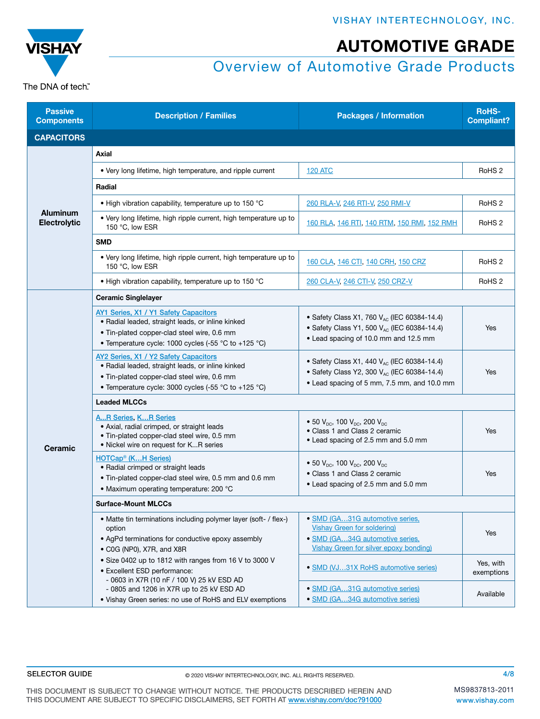

## Overview of Automotive Grade Products

| <b>Passive</b><br>Components           | <b>Description / Families</b>                                                                                                                                                                     | <b>Packages / Information</b>                                                                                                                              | <b>RoHS-</b><br><b>Compliant?</b> |
|----------------------------------------|---------------------------------------------------------------------------------------------------------------------------------------------------------------------------------------------------|------------------------------------------------------------------------------------------------------------------------------------------------------------|-----------------------------------|
| <b>CAPACITORS</b>                      |                                                                                                                                                                                                   |                                                                                                                                                            |                                   |
| <b>Aluminum</b><br><b>Electrolytic</b> | Axial                                                                                                                                                                                             |                                                                                                                                                            |                                   |
|                                        | • Very long lifetime, high temperature, and ripple current                                                                                                                                        | <b>120 ATC</b>                                                                                                                                             | RoHS <sub>2</sub>                 |
|                                        | Radial                                                                                                                                                                                            |                                                                                                                                                            |                                   |
|                                        | . High vibration capability, temperature up to 150 °C                                                                                                                                             | 260 RLA-V, 246 RTI-V, 250 RMI-V                                                                                                                            | RoHS <sub>2</sub>                 |
|                                        | • Very long lifetime, high ripple current, high temperature up to<br>150 °C, low ESR                                                                                                              | 160 RLA, 146 RTI, 140 RTM, 150 RMI, 152 RMH                                                                                                                | RoHS <sub>2</sub>                 |
|                                        | <b>SMD</b>                                                                                                                                                                                        |                                                                                                                                                            |                                   |
|                                        | • Very long lifetime, high ripple current, high temperature up to<br>150 °C, low ESR                                                                                                              | 160 CLA, 146 CTI, 140 CRH, 150 CRZ                                                                                                                         | RoHS <sub>2</sub>                 |
|                                        | • High vibration capability, temperature up to 150 $^{\circ}$ C                                                                                                                                   | 260 CLA-V, 246 CTI-V, 250 CRZ-V                                                                                                                            | RoHS <sub>2</sub>                 |
|                                        | <b>Ceramic Singlelayer</b>                                                                                                                                                                        |                                                                                                                                                            |                                   |
|                                        | AY1 Series, X1 / Y1 Safety Capacitors<br>· Radial leaded, straight leads, or inline kinked<br>. Tin-plated copper-clad steel wire, 0.6 mm<br>• Temperature cycle: 1000 cycles (-55 °C to +125 °C) | • Safety Class X1, 760 $V_{AC}$ (IEC 60384-14.4)<br>• Safety Class Y1, 500 V <sub>AC</sub> (IEC 60384-14.4)<br>• Lead spacing of 10.0 mm and 12.5 mm       | Yes                               |
|                                        | AY2 Series, X1 / Y2 Safety Capacitors<br>· Radial leaded, straight leads, or inline kinked<br>. Tin-plated copper-clad steel wire, 0.6 mm<br>• Temperature cycle: 3000 cycles (-55 °C to +125 °C) | • Safety Class X1, 440 $V_{AC}$ (IEC 60384-14.4)<br>• Safety Class Y2, 300 V <sub>AC</sub> (IEC 60384-14.4)<br>• Lead spacing of 5 mm, 7.5 mm, and 10.0 mm | Yes                               |
|                                        | <b>Leaded MLCCs</b>                                                                                                                                                                               |                                                                                                                                                            |                                   |
| <b>Ceramic</b>                         | <b>AR Series, KR Series</b><br>• Axial, radial crimped, or straight leads<br>. Tin-plated copper-clad steel wire, 0.5 mm<br>. Nickel wire on request for KR series                                | • 50 $V_{\text{DC}}$ , 100 $V_{\text{DC}}$ , 200 $V_{\text{DC}}$<br>• Class 1 and Class 2 ceramic<br>• Lead spacing of 2.5 mm and 5.0 mm                   | Yes                               |
|                                        | HOTCap <sup>®</sup> (KH Series)<br>• Radial crimped or straight leads<br>. Tin-plated copper-clad steel wire, 0.5 mm and 0.6 mm<br>• Maximum operating temperature: 200 °C                        | • 50 $V_{\text{nc}}$ , 100 $V_{\text{nc}}$ , 200 $V_{\text{nc}}$<br>• Class 1 and Class 2 ceramic<br>• Lead spacing of 2.5 mm and 5.0 mm                   | Yes                               |
|                                        | <b>Surface-Mount MLCCs</b>                                                                                                                                                                        |                                                                                                                                                            |                                   |
|                                        | • Matte tin terminations including polymer layer (soft- / flex-)<br>option<br>• AgPd terminations for conductive epoxy assembly<br>• C0G (NP0), X7R, and X8R                                      | · SMD (GA31G automotive series,<br><b>Vishay Green for soldering)</b><br>· SMD (GA34G automotive series,<br><b>Vishay Green for silver epoxy bonding)</b>  | Yes                               |
|                                        | • Size 0402 up to 1812 with ranges from 16 V to 3000 V<br>• Excellent ESD performance:                                                                                                            | • SMD (VJ31X RoHS automotive series)                                                                                                                       | Yes, with<br>exemptions           |
|                                        | - 0603 in X7R (10 nF / 100 V) 25 kV ESD AD<br>- 0805 and 1206 in X7R up to 25 kV ESD AD<br>. Vishay Green series: no use of RoHS and ELV exemptions                                               | • SMD (GA31G automotive series)<br>· SMD (GA34G automotive series)                                                                                         | Available                         |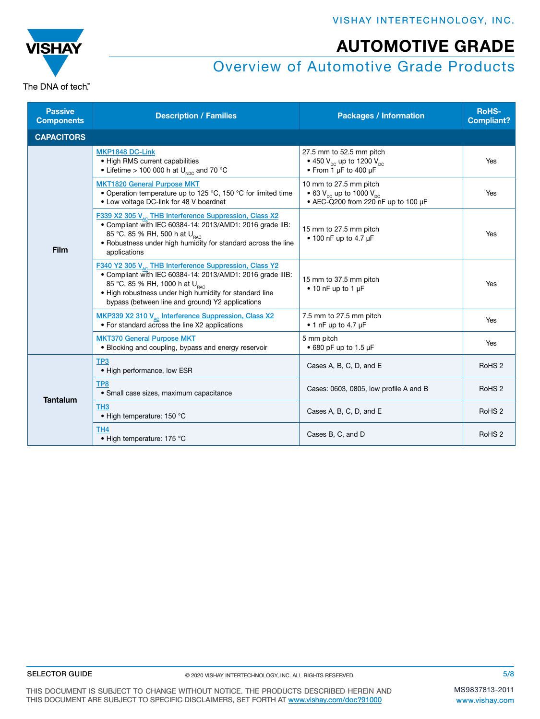VISHAY INTERTECHNOLOGY, INC.



AUTOMOTIVE GRADE

## Overview of Automotive Grade Products

| <b>Passive</b><br><b>Components</b> | <b>Description / Families</b>                                                                                                                                                                                                                                                                 | <b>Packages / Information</b>                                                                                    | <b>RoHS-</b><br><b>Compliant?</b> |
|-------------------------------------|-----------------------------------------------------------------------------------------------------------------------------------------------------------------------------------------------------------------------------------------------------------------------------------------------|------------------------------------------------------------------------------------------------------------------|-----------------------------------|
| <b>CAPACITORS</b>                   |                                                                                                                                                                                                                                                                                               |                                                                                                                  |                                   |
| Film                                | MKP1848 DC-Link<br>• High RMS current capabilities<br>• Lifetime > 100 000 h at $U_{NDC}$ and 70 °C                                                                                                                                                                                           | 27.5 mm to 52.5 mm pitch<br>• 450 $V_{\text{pc}}$ up to 1200 $V_{\text{pc}}$<br>• From 1 µF to 400 µF            | Yes                               |
|                                     | <b>MKT1820 General Purpose MKT</b><br>• Operation temperature up to 125 °C, 150 °C for limited time<br>• Low voltage DC-link for 48 V boardnet                                                                                                                                                | 10 mm to 27.5 mm pitch<br>• 63 $V_{\text{DC}}$ up to 1000 $V_{\text{DC}}$<br>• AEC-Q200 from 220 nF up to 100 uF | Yes                               |
|                                     | F339 X2 305 V <sub>10</sub> THB Interference Suppression, Class X2<br>• Compliant with IEC 60384-14: 2013/AMD1: 2016 grade IIB:<br>85 °C, 85 % RH, 500 h at U <sub>RAC</sub><br>• Robustness under high humidity for standard across the line<br>applications                                 | 15 mm to 27.5 mm pitch<br>$\bullet$ 100 nF up to 4.7 µF                                                          | Yes                               |
|                                     | F340 Y2 305 V <sub>AC</sub> THB Interference Suppression, Class Y2<br>. Compliant with IEC 60384-14: 2013/AMD1: 2016 grade IIIB:<br>85 °C, 85 % RH, 1000 h at U <sub>BAC</sub><br>. High robustness under high humidity for standard line<br>bypass (between line and ground) Y2 applications | 15 mm to 37.5 mm pitch<br>$\bullet$ 10 nF up to 1 µF                                                             | Yes                               |
|                                     | MKP339 X2 310 V <sub>AC</sub> Interference Suppression, Class X2<br>• For standard across the line X2 applications                                                                                                                                                                            | 7.5 mm to 27.5 mm pitch<br>$\bullet$ 1 nF up to 4.7 µF                                                           | Yes                               |
|                                     | <b>MKT370 General Purpose MKT</b><br>• Blocking and coupling, bypass and energy reservoir                                                                                                                                                                                                     | 5 mm pitch<br>$\bullet$ 680 pF up to 1.5 µF                                                                      | Yes                               |
| <b>Tantalum</b>                     | TP3<br>· High performance, low ESR                                                                                                                                                                                                                                                            | Cases A, B, C, D, and E                                                                                          | RoHS <sub>2</sub>                 |
|                                     | TP8<br>• Small case sizes, maximum capacitance                                                                                                                                                                                                                                                | Cases: 0603, 0805, low profile A and B                                                                           | RoHS <sub>2</sub>                 |
|                                     | TH <sub>3</sub><br>• High temperature: 150 °C                                                                                                                                                                                                                                                 | Cases A, B, C, D, and E                                                                                          | RoHS <sub>2</sub>                 |
|                                     | TH4<br>• High temperature: 175 °C                                                                                                                                                                                                                                                             | Cases B, C, and D                                                                                                | RoHS <sub>2</sub>                 |

### SELECTOR GUIDE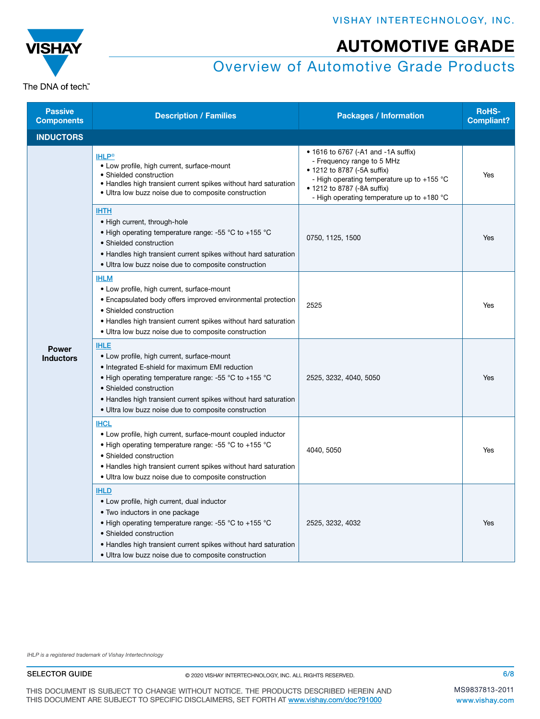

Compliant?

Yes

### Overview of Automotive Grade Products

**Passive<br>Components Description / Families Components Packages / Information RoHS-**<br>Complier **INDUCTORS** [IHLP](https://www.vishay.com/inductors/ihlp-power-inductors-automotive/)® • Low profile, high current, surface-mount • Shielded construction • Handles high transient current spikes without hard saturation • Ultra low buzz noise due to composite construction • 1616 to 6767 (-A1 and -1A suffix) - Frequency range to 5 MHz • 1212 to 8787 (-5A suffix) - High operating temperature up to +155 °C • 1212 to 8787 (-8A suffix) - High operating temperature up to +180 °C [IHTH](http://www.vishay.com/inductors/ihth-power-inductors/) • High current, through-hole • High operating temperature range: -55 °C to +155 °C • Shielded construction • Handles high transient current spikes without hard saturation • Ultra low buzz noise due to composite construction 0750, 1125, 1500 Yes [IHLM](https://www.vishay.com/ppg?34243) • Low profile, high current, surface-mount

|                                  | • Ultra low buzz holse due to composite construction                                                                                                                                                                                                                                                                        |                        |     |
|----------------------------------|-----------------------------------------------------------------------------------------------------------------------------------------------------------------------------------------------------------------------------------------------------------------------------------------------------------------------------|------------------------|-----|
|                                  | <b>IHLM</b><br>• Low profile, high current, surface-mount<br>• Encapsulated body offers improved environmental protection<br>• Shielded construction<br>• Handles high transient current spikes without hard saturation<br>• Ultra low buzz noise due to composite construction                                             | 2525                   | Yes |
| <b>Power</b><br><b>Inductors</b> | <b>IHLE</b><br>• Low profile, high current, surface-mount<br>• Integrated E-shield for maximum EMI reduction<br>• High operating temperature range: -55 °C to +155 °C<br>• Shielded construction<br>• Handles high transient current spikes without hard saturation<br>• Ultra low buzz noise due to composite construction | 2525, 3232, 4040, 5050 | Yes |
|                                  | <b>IHCL</b><br>• Low profile, high current, surface-mount coupled inductor<br>• High operating temperature range: -55 °C to +155 °C<br>• Shielded construction<br>• Handles high transient current spikes without hard saturation<br>• Ultra low buzz noise due to composite construction                                   | 4040, 5050             | Yes |
|                                  | <b>IHLD</b><br>• Low profile, high current, dual inductor<br>• Two inductors in one package<br>• High operating temperature range: -55 °C to +155 °C<br>• Shielded construction<br>• Handles high transient current spikes without hard saturation<br>• Ultra low buzz noise due to composite construction                  | 2525, 3232, 4032       | Yes |

*IHLP is a registered trademark of Vishay Intertechnology*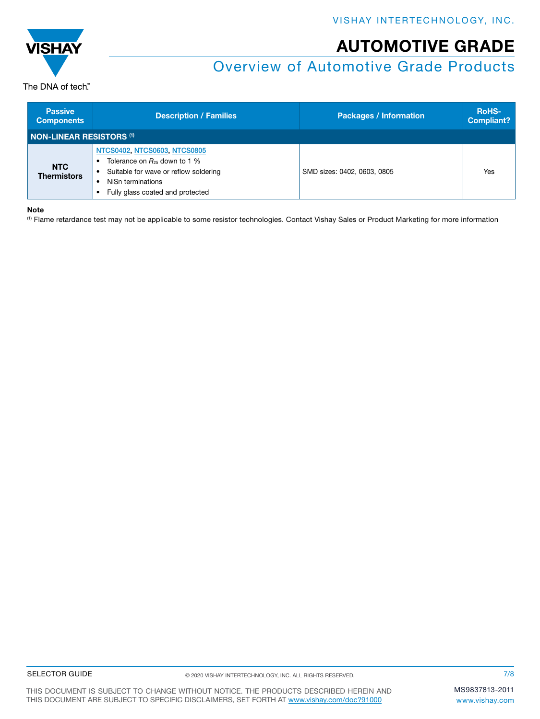

## Overview of Automotive Grade Products

The DNA of tech"

| <b>Passive</b><br><b>Components</b> | <b>Description / Families</b>                                                                                                                                       | <b>Packages / Information</b> | <b>RoHS-</b><br><b>Compliant?</b> |
|-------------------------------------|---------------------------------------------------------------------------------------------------------------------------------------------------------------------|-------------------------------|-----------------------------------|
| <b>NON-LINEAR RESISTORS (1)</b>     |                                                                                                                                                                     |                               |                                   |
| <b>NTC</b><br><b>Thermistors</b>    | NTCS0402, NTCS0603, NTCS0805<br>Tolerance on $R_{25}$ down to 1 %<br>Suitable for wave or reflow soldering<br>NiSn terminations<br>Fully glass coated and protected | SMD sizes: 0402, 0603, 0805   | Yes                               |

### Note

(1) Flame retardance test may not be applicable to some resistor technologies. Contact Vishay Sales or Product Marketing for more information